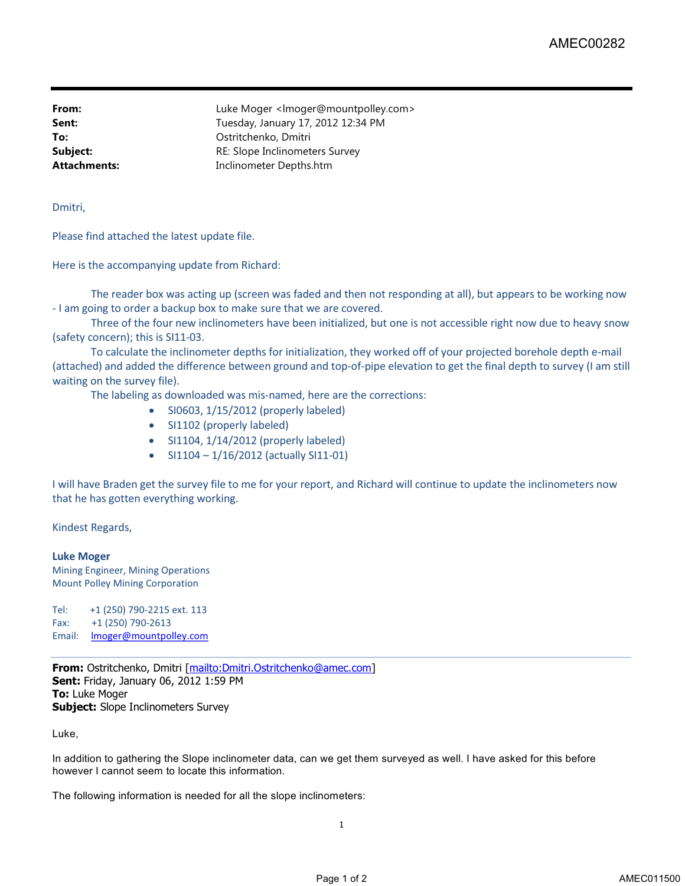**From:** Example 2.1 Luke Moger </a> knowledger@mountpolley.com> **Sent:** Tuesday, January 17, 2012 12:34 PM **To:** Ostritchenko, Dmitri **Subject:** RE: Slope Inclinometers Survey **Attachments:** Inclinometer Depths.htm

Dmitri,

Please find attached the latest update file.

Here is the accompanying update from Richard:

The reader box was acting up (screen was faded and then not responding at all), but appears to be working now - I am going to order a backup box to make sure that we are covered.

Three of the four new inclinometers have been initialized, but one is not accessible right now due to heavy snow (safety concern); this is SI11-03.

To calculate the inclinometer depths for initialization, they worked off of your projected borehole depth e-mail (attached) and added the difference between ground and top-of-pipe elevation to get the final depth to survey (I am still waiting on the survey file).

The labeling as downloaded was mis-named, here are the corrections:

- SI0603, 1/15/2012 (properly labeled)
- SI1102 (properly labeled)
- SI1104, 1/14/2012 (properly labeled)
- $\bullet$  SI1104 1/16/2012 (actually SI11-01)

I will have Braden get the survey file to me for your report, and Richard will continue to update the inclinometers now that he has gotten everything working.

Kindest Regards,

**Luke Moger** Mining Engineer, Mining Operations Mount Polley Mining Corporation

Tel: +1 (250) 790-2215 ext. 113 Fax: +1 (250) 790-2613 Email: **Imoger@mountpolley.com** 

**From:** Ostritchenko, Dmitri [mailto:Dmitri.Ostritchenko@amec.com] **Sent:** Friday, January 06, 2012 1:59 PM **To:** Luke Moger **Subject:** Slope Inclinometers Survey

Luke,

In addition to gathering the Slope inclinometer data, can we get them surveyed as well. I have asked for this before however I cannot seem to locate this information.

The following information is needed for all the slope inclinometers: